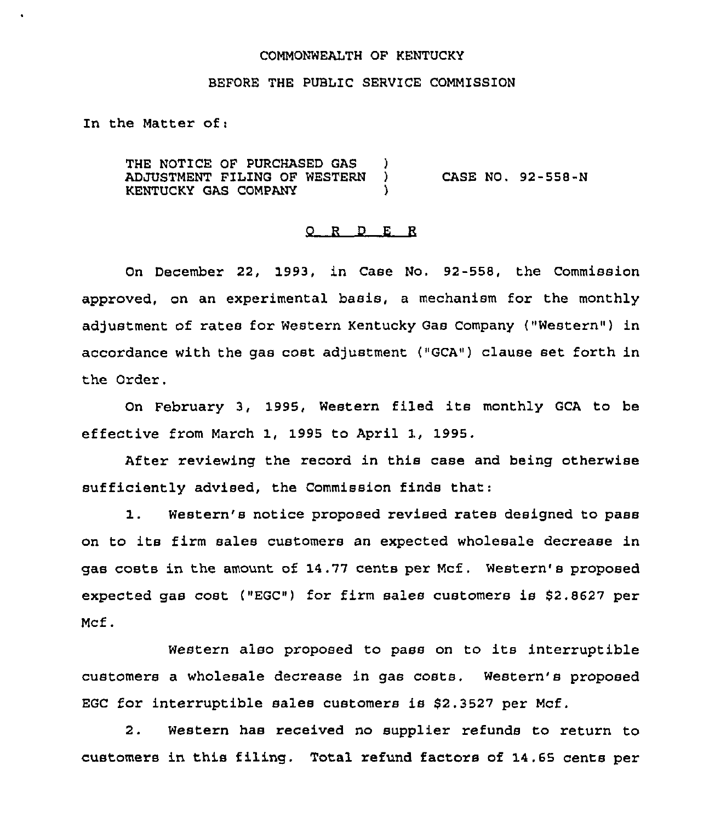#### COMMONWEALTH OF KENTUCKY

### BEFORE THE PUBLIC SERVICE COMMISSION

In the Matter of:

THE NOTICE OF PURCHASED GAS )<br>ADJUSTMENT FILING OF WESTERN ) **ADJUSTMENT FILING OF WESTERN )**<br>KENTUCKY GAS COMPANY KENTUCKY GAS COMPANY ) CASE NO. 92-558-N

#### 0 <sup>R</sup> <sup>D</sup> E <sup>R</sup>

On December 22, 1993, in Case No. 92-558, the Commission approved, on an experimental basis, a mechanism for the monthly adjustment of rates for Western Kentucky Gas Company ("Western") in accordance with the gas cost adjustment  $($ "GCA") clause set forth in the Order.

On February 3, 1995, Western filed its monthly GCA to be effective from March 1, 1995 to April 1, 1995.

After reviewing the record in this case and being otherwise sufficiently advised, the Commission finds that:

1. Western's notice proposed revised rates designed to pass on to its firm sales customers an expected wholesale decrease in gas costs in the amount of 14.77 cents per Mcf. Western's proposed expected gas cost ("EGC") for firm sales customers is \$2.8627 per Mcf.

Western also proposed to pass on to its interruptible customers a wholesale decrease in gas costs. Western's proposed EGC for interruptible sales customers is \$2.3527 per Mcf.

2. Western has received no supplier refunds to return to customers in this filing. Total refund factors of 14.65 cents per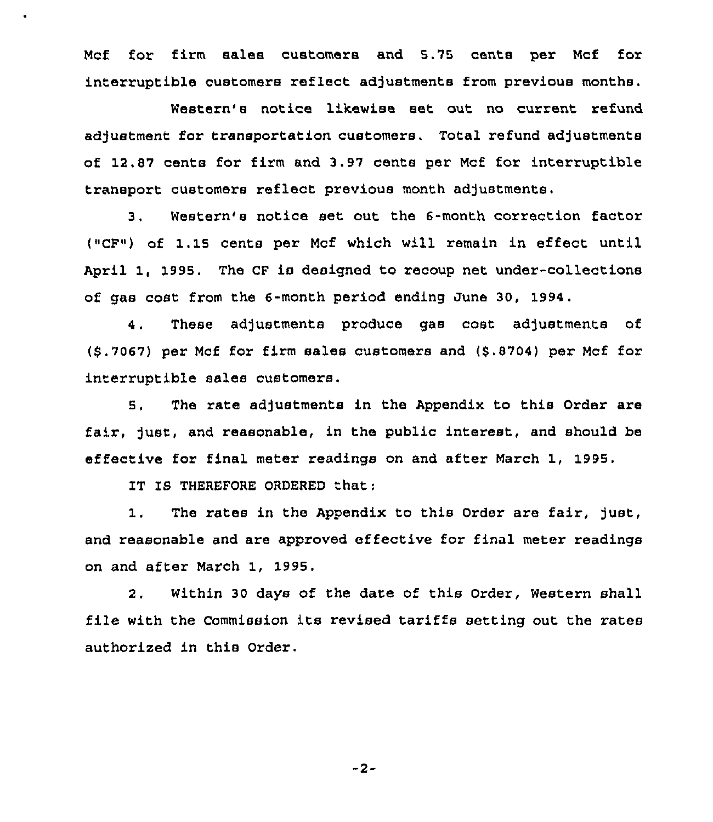Mcf for firm sales customers and 5.75 cents per Mcf for interruptible customers reflect adjustments from previous months.

Western's notice likewise set. out no current retund adjustment for transportation customers, Total refund adjustments of 12.87 cents for firm and 3.97 cents per Mcf for interruptible transport customers reflect previous month adjustments.

3. Western's notice set out the 6-month correction factor ("CF") of 1.15 cents per Mcf which will remain in effect until April 1, 1995. The CF is designed to recoup net under-collections of gas cost from the 6-month period ending June 30, 1994.

4. These adjustments produce gas cost adjustments of (9.7067) per Mcf for firm sales customers and (8.8704) per Mcf for interruptible sales customers.

5. The rate adjustments in the Appendix to this Ordex" are fair, just, and reasonable, in the public interest, and should be effective for final meter readings on and after March 1, 1995.

IT IS THEREFORE ORDERED that:

1. The rates in the Appendix to this Order are fair, just, and reasonable and are approved effective for final meter readings on and after March 1, 1995.

2. Within 30 days of the date of this Order, Western shall file with the Commission its revised tariffs setting out the rates authorized in this Order.

-2-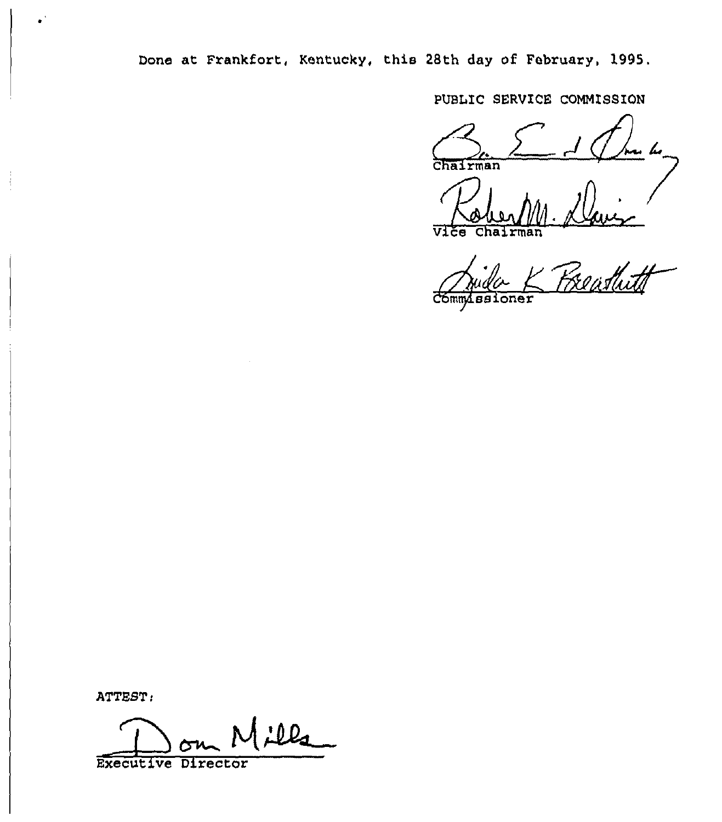Done at Frankfort, Kentucky, this 28th day of February, 1995.

PUBLIC SERVICE COMMISSION

Chairman

 $\overline{v}$ ice Chai

a<br>Elisthitt oner

ATTEST:

 $|2l_1|$ 

Executive Director